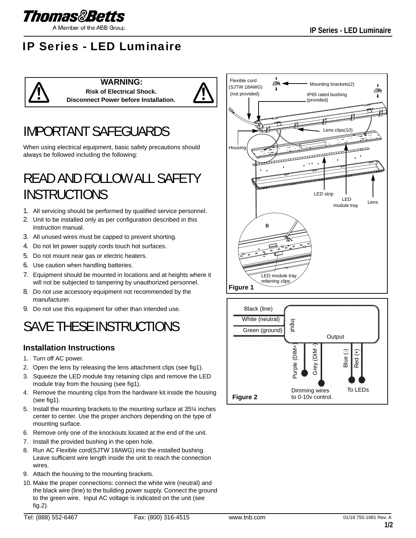

A Member of the ABB Group

## IP Series - LED Luminaire



## IMPORTANT SAFEGUARDS

When using electrical equipment, basic safety precautions should always be followed including the following:

## READ AND FOLLOW ALL SAFETY INSTRUCTIONS

- 1. All servicing should be performed by qualified service personnel.
- 2. Unit to be installed only as per configuration described in this instruction manual.
- 3. All unused wires must be capped to prevent shorting.
- 4. Do not let power supply cords touch hot surfaces.
- 5. Do not mount near gas or electric heaters.
- 6. Use caution when handling batteries.
- 7. Equipment should be mounted in locations and at heights where it will not be subjected to tampering by unauthorized personnel.
- 8. Do not use accessory equipment not recommended by the manufacturer.
- 9. Do not use this equipment for other than intended use.

## SAVE THESE INSTRUCTIONS

## **Installation Instructions**

- 1. Turn off AC power.
- 2. Open the lens by releasing the lens attachment clips (see fig1).
- 3. Squeeze the LED module tray retaining clips and remove the LED module tray from the housing (see fig1).
- 4. Remove the mounting clips from the hardware kit inside the housing (see fig1).
- 5. Install the mounting brackets to the mounting surface at 35¼ inches center to center. Use the proper anchors depending on the type of mounting surface.
- 6. Remove only one of the knockouts located at the end of the unit.
- 7. Install the provided bushing in the open hole.
- 8. Run AC Flexible cord(SJTW 18AWG) into the installed bushing. Leave sufficient wire length inside the unit to reach the connection wires.
- 9. Attach the housing to the mounting brackets.
- 10. Make the proper connections: connect the white wire (neutral) and the black wire (line) to the building power supply. Connect the ground to the green wire. Input AC voltage is indicated on the unit (see fig.2).



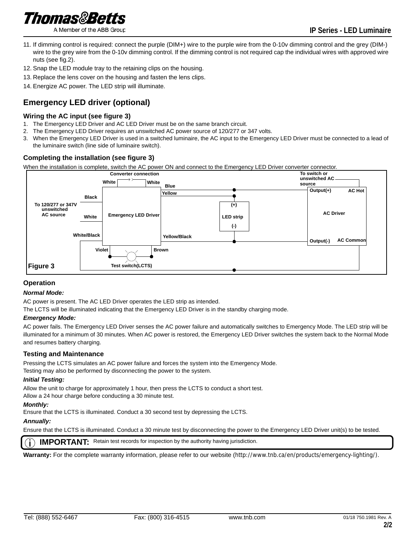

A Member of the ABB Group

- 11. If dimming control is required: connect the purple (DIM+) wire to the purple wire from the 0-10v dimming control and the grey (DIM-) wire to the grey wire from the 0-10v dimming control. If the dimming control is not required cap the individual wires with approved wire nuts (see fig.2).
- 12. Snap the LED module tray to the retaining clips on the housing.
- 13. Replace the lens cover on the housing and fasten the lens clips.
- 14. Energize AC power. The LED strip will illuminate.

## **Emergency LED driver (optional)**

## **Wiring the AC input (see figure 3)**

- 1. The Emergency LED Driver and AC LED Driver must be on the same branch circuit.
- 2. The Emergency LED Driver requires an unswitched AC power source of 120/277 or 347 volts.
- 3. When the Emergency LED Driver is used in a switched luminaire, the AC input to the Emergency LED Driver must be connected to a lead of the luminaire switch (line side of luminaire switch).

## **Completing the installation (see figure 3)**

When the installation is complete, switch the AC power ON and connect to the Emergency LED Driver converter connector.



### **Operation**

### *Normal Mode:*

AC power is present. The AC LED Driver operates the LED strip as intended.

The LCTS will be illuminated indicating that the Emergency LED Driver is in the standby charging mode.

### *Emergency Mode:*

AC power fails. The Emergency LED Driver senses the AC power failure and automatically switches to Emergency Mode. The LED strip will be illuminated for a minimum of 30 minutes. When AC power is restored, the Emergency LED Driver switches the system back to the Normal Mode and resumes battery charging.

### **Testing and Maintenance**

Pressing the LCTS simulates an AC power failure and forces the system into the Emergency Mode.

Testing may also be performed by disconnecting the power to the system.

### *Initial Testing:*

Allow the unit to charge for approximately 1 hour, then press the LCTS to conduct a short test.

Allow a 24 hour charge before conducting a 30 minute test.

### *Monthly:*

Ensure that the LCTS is illuminated. Conduct a 30 second test by depressing the LCTS.

### *Annually:*

Ensure that the LCTS is illuminated. Conduct a 30 minute test by disconnecting the power to the Emergency LED Driver unit(s) to be tested.

**IMPORTANT:** Retain test records for inspection by the authority having jurisdiction.

**Warranty:** For the complete warranty information, please refer to our website (http://www.tnb.ca/en/products/emergency-lighting/).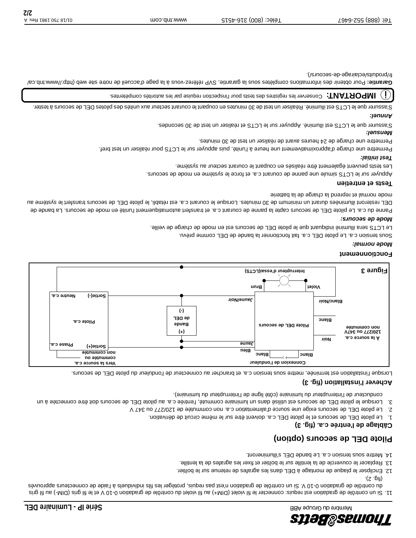

il gris de gradation est requis: connecter le fil violet (DIM+) au field de gradation est proi de de gradation e évuorqqs auetoenros eb ebis! à sleubivibni alit sel tegètorq alupen asq tae'n noitabatg eb elôttros nu i2 V 01-0 noitabatg eb elôttros ub  $\cdot$ (2). 2).

- 12. Enclipser le plaque de montage à DEL dans les agrafes de retenue sur le boîtier.
- 13. Replacer le couvercle de la lentille sur le boîtier et fixer les agrafes de la lentille.
- 14. Mettre sous tension c.a. Le bande DEL s'illumineront.

## **secours (option) Pilote DEL de**

### **Câblage de l'entrée c.a. (fig. 3)**

- 1. Le pilote DEL de secours et le pilote DEL c.a. doivent être sur le même circuit de dérivation.
- 2. Le pilote DEL de secours exige une source d'alimentation c.a. non commutée de 120/277 ou 347 V 3. Lorsque le pilote DEL de secours est utilisé dans un luminaion entrée c.a. au pilote DEL de secours doit être connectée à un
- conducteur de l'interrupteur du luminaire (côté ligne de l'interrupteur du luminaire).

### **Achever l'installation (fig. 3)**

Lorsque l'installation est terminée, mettre sous tension c.a. et brancher au connecteur de l'onduleur du pilote DEL de secours.



### **Fonctionnement**

#### *Mode normal:*

Sous tension c.a. Le pilote DEL c.a. fait fonctionner la bande de DEL comme prévu.

Le LCTS sera illuminé indiquant que le pilote DEL de secours est en mode de charge de veille.

#### *Mode de secours:*

**Tests et entretien**

Panne du c.a. Le pilote DEL de secours capte la panne de courant en transfert automatiquement l'unité en mode de secours. La bande de DEL resteront illuminées durant un minimum de 30 minutes. Lorsque le courant c.a. est aidabli, le pilote DEL de secours transfert le système au mode normal et reprend la charge de la batterie

can especie en epoconta. Et force le soure de contant c.a. et force le système en mode de secours. Les tests peuvent également être réalisés en coupant le courant secteur au système.

## *Test initial:*

Permettre une charge d'approximativement une henre à l'unité, puis appuyer sur le LCTS pour réaliser un test bref.

Permettre une charge de 24 heures avant de réaliser un test de 30 minutes.

## *Mensuel:*

S'assurer que le LCTS est illuminé. Appuyer sur le LCTS et réaliser un test de 30 secondes.

## *Annuel:*

S'assurer que le LCTS est illuminé. Réaliser un test de 30 minutes ne deurant secteur aux unités des pilotes de 210 deupronnes des piloter.

IMPORTANT: Conserver les registres des tests pour l'inspection requise par les autorités compétentes.  $(\; | \; )$ 

nb.ca/ Pour obtenir des informations complètes sous la garantie, SVP référez-vous à la page d'accueil de notre site web (http://www.t **Garantie:** fr/produits/eclairage-de-secours/).